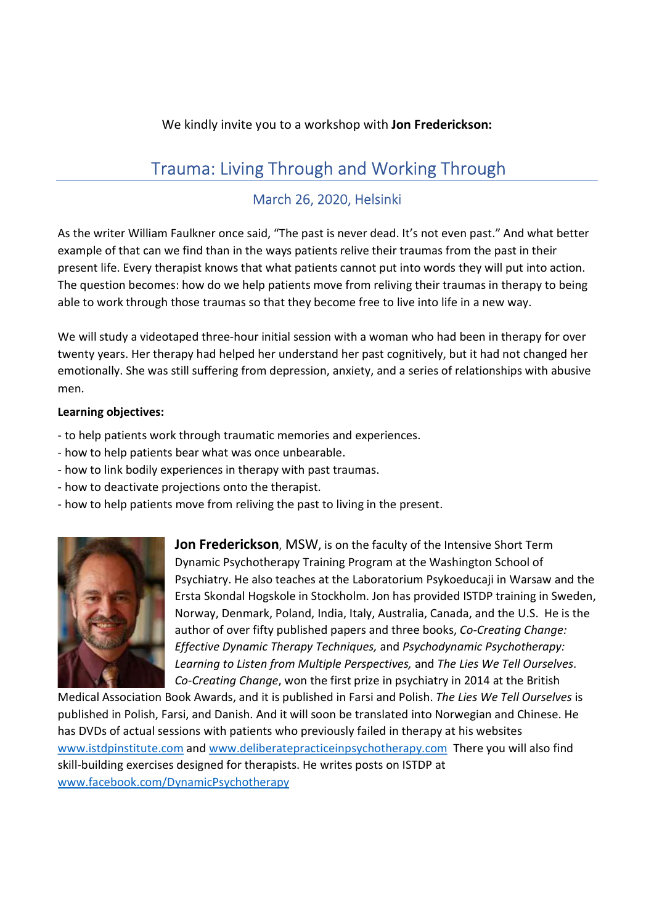## We kindly invite you to a workshop with Jon Frederickson:

# Trauma: Living Through and Working Through

# March 26, 2020, Helsinki

As the writer William Faulkner once said, "The past is never dead. It's not even past." And what better example of that can we find than in the ways patients relive their traumas from the past in their present life. Every therapist knows that what patients cannot put into words they will put into action. The question becomes: how do we help patients move from reliving their traumas in therapy to being able to work through those traumas so that they become free to live into life in a new way.

We will study a videotaped three-hour initial session with a woman who had been in therapy for over twenty years. Her therapy had helped her understand her past cognitively, but it had not changed her emotionally. She was still suffering from depression, anxiety, and a series of relationships with abusive men.

#### Learning objectives:

- to help patients work through traumatic memories and experiences.
- how to help patients bear what was once unbearable.
- how to link bodily experiences in therapy with past traumas.
- how to deactivate projections onto the therapist.
- how to help patients move from reliving the past to living in the present.



Jon Frederickson, MSW, is on the faculty of the Intensive Short Term Dynamic Psychotherapy Training Program at the Washington School of Psychiatry. He also teaches at the Laboratorium Psykoeducaji in Warsaw and the Ersta Skondal Hogskole in Stockholm. Jon has provided ISTDP training in Sweden, Norway, Denmark, Poland, India, Italy, Australia, Canada, and the U.S. He is the author of over fifty published papers and three books, Co-Creating Change: Effective Dynamic Therapy Techniques, and Psychodynamic Psychotherapy: Learning to Listen from Multiple Perspectives, and The Lies We Tell Ourselves. Co-Creating Change, won the first prize in psychiatry in 2014 at the British

Medical Association Book Awards, and it is published in Farsi and Polish. The Lies We Tell Ourselves is published in Polish, Farsi, and Danish. And it will soon be translated into Norwegian and Chinese. He has DVDs of actual sessions with patients who previously failed in therapy at his websites www.istdpinstitute.com and www.deliberatepracticeinpsychotherapy.com There you will also find skill-building exercises designed for therapists. He writes posts on ISTDP at www.facebook.com/DynamicPsychotherapy